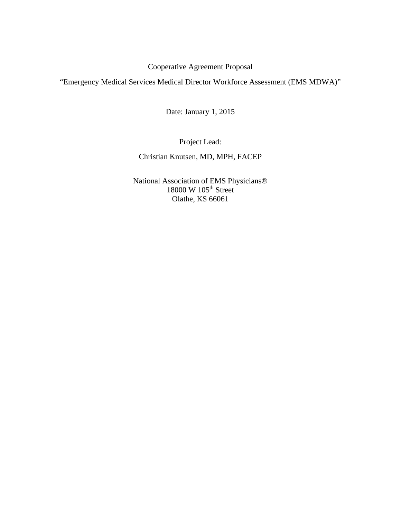# Cooperative Agreement Proposal

"Emergency Medical Services Medical Director Workforce Assessment (EMS MDWA)"

Date: January 1, 2015

Project Lead:

Christian Knutsen, MD, MPH, FACEP

National Association of EMS Physicians® 18000 W 105<sup>th</sup> Street Olathe, KS 66061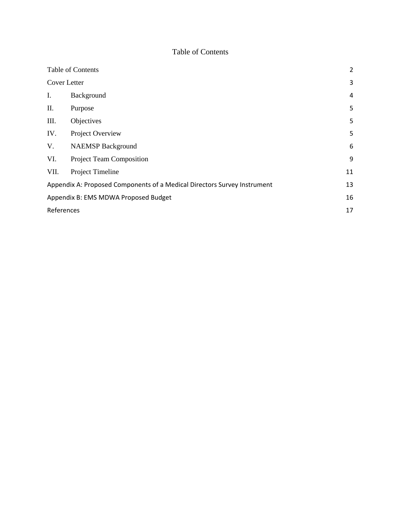## Table of Contents

| Table of Contents                                                        |                          |    |  |  |  |
|--------------------------------------------------------------------------|--------------------------|----|--|--|--|
| Cover Letter                                                             | 3                        |    |  |  |  |
| Ι.                                                                       | Background               | 4  |  |  |  |
| П.                                                                       | Purpose                  | 5  |  |  |  |
| III.                                                                     | Objectives               | 5  |  |  |  |
| IV.                                                                      | Project Overview         | 5  |  |  |  |
| V.                                                                       | <b>NAEMSP Background</b> | 6  |  |  |  |
| VI.                                                                      | Project Team Composition | 9  |  |  |  |
| VII.                                                                     | Project Timeline         | 11 |  |  |  |
| Appendix A: Proposed Components of a Medical Directors Survey Instrument |                          |    |  |  |  |
| Appendix B: EMS MDWA Proposed Budget                                     |                          |    |  |  |  |
| References                                                               |                          |    |  |  |  |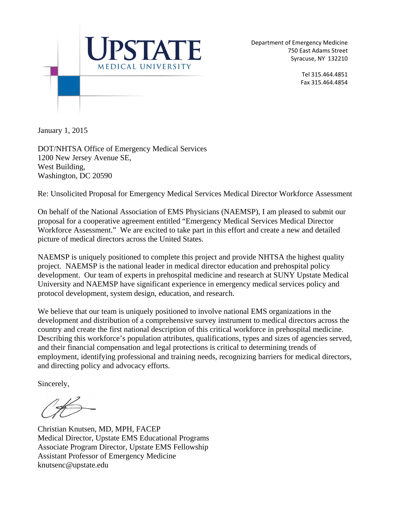

Department of Emergency Medicine 750 East Adams Street Syracuse, NY 132210

> Tel 315.464.4851 Fax 315.464.4854

January 1, 2015

DOT/NHTSA Office of Emergency Medical Services 1200 New Jersey Avenue SE, West Building, Washington, DC 20590

Re: Unsolicited Proposal for Emergency Medical Services Medical Director Workforce Assessment

On behalf of the National Association of EMS Physicians (NAEMSP), I am pleased to submit our proposal for a cooperative agreement entitled "Emergency Medical Services Medical Director Workforce Assessment." We are excited to take part in this effort and create a new and detailed picture of medical directors across the United States.

NAEMSP is uniquely positioned to complete this project and provide NHTSA the highest quality project. NAEMSP is the national leader in medical director education and prehospital policy development. Our team of experts in prehospital medicine and research at SUNY Upstate Medical University and NAEMSP have significant experience in emergency medical services policy and protocol development, system design, education, and research.

We believe that our team is uniquely positioned to involve national EMS organizations in the development and distribution of a comprehensive survey instrument to medical directors across the country and create the first national description of this critical workforce in prehospital medicine. Describing this workforce's population attributes, qualifications, types and sizes of agencies served, and their financial compensation and legal protections is critical to determining trends of employment, identifying professional and training needs, recognizing barriers for medical directors, and directing policy and advocacy efforts.

Sincerely,

Christian Knutsen, MD, MPH, FACEP Medical Director, Upstate EMS Educational Programs Associate Program Director, Upstate EMS Fellowship Assistant Professor of Emergency Medicine knutsenc@upstate.edu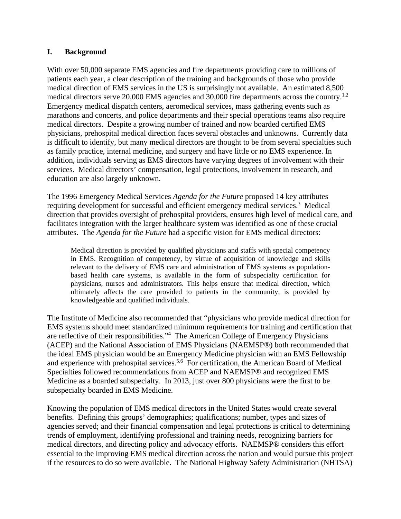#### **I. Background**

With over 50,000 separate EMS agencies and fire departments providing care to millions of patients each year, a clear description of the training and backgrounds of those who provide medical direction of EMS services in the US is surprisingly not available. An estimated 8,500 medical directors serve 20,000 EMS agencies and 30,000 fire departments across the country.<sup>1,2</sup> Emergency medical dispatch centers, aeromedical services, mass gathering events such as marathons and concerts, and police departments and their special operations teams also require medical directors. Despite a growing number of trained and now boarded certified EMS physicians, prehospital medical direction faces several obstacles and unknowns. Currently data is difficult to identify, but many medical directors are thought to be from several specialties such as family practice, internal medicine, and surgery and have little or no EMS experience. In addition, individuals serving as EMS directors have varying degrees of involvement with their services. Medical directors' compensation, legal protections, involvement in research, and education are also largely unknown.

The 1996 Emergency Medical Services *Agenda for the Future* proposed 14 key attributes requiring development for successful and efficient emergency medical services.<sup>3</sup> Medical direction that provides oversight of prehospital providers, ensures high level of medical care, and facilitates integration with the larger healthcare system was identified as one of these crucial attributes. The *Agenda for the Future* had a specific vision for EMS medical directors:

Medical direction is provided by qualified physicians and staffs with special competency in EMS. Recognition of competency, by virtue of acquisition of knowledge and skills relevant to the delivery of EMS care and administration of EMS systems as populationbased health care systems, is available in the form of subspecialty certification for physicians, nurses and administrators. This helps ensure that medical direction, which ultimately affects the care provided to patients in the community, is provided by knowledgeable and qualified individuals.

The Institute of Medicine also recommended that "physicians who provide medical direction for EMS systems should meet standardized minimum requirements for training and certification that are reflective of their responsibilities."<sup>4</sup> The American College of Emergency Physicians (ACEP) and the National Association of EMS Physicians (NAEMSP®) both recommended that the ideal EMS physician would be an Emergency Medicine physician with an EMS Fellowship and experience with prehospital services.<sup>5,6</sup> For certification, the American Board of Medical Specialties followed recommendations from ACEP and NAEMSP® and recognized EMS Medicine as a boarded subspecialty. In 2013, just over 800 physicians were the first to be subspecialty boarded in EMS Medicine.

Knowing the population of EMS medical directors in the United States would create several benefits. Defining this groups' demographics; qualifications; number, types and sizes of agencies served; and their financial compensation and legal protections is critical to determining trends of employment, identifying professional and training needs, recognizing barriers for medical directors, and directing policy and advocacy efforts. NAEMSP® considers this effort essential to the improving EMS medical direction across the nation and would pursue this project if the resources to do so were available. The National Highway Safety Administration (NHTSA)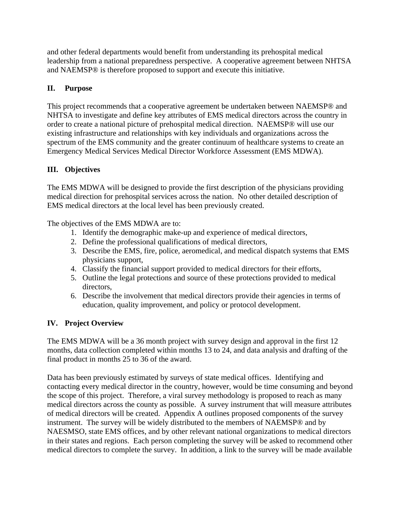and other federal departments would benefit from understanding its prehospital medical leadership from a national preparedness perspective. A cooperative agreement between NHTSA and NAEMSP® is therefore proposed to support and execute this initiative.

## **II. Purpose**

This project recommends that a cooperative agreement be undertaken between NAEMSP® and NHTSA to investigate and define key attributes of EMS medical directors across the country in order to create a national picture of prehospital medical direction. NAEMSP® will use our existing infrastructure and relationships with key individuals and organizations across the spectrum of the EMS community and the greater continuum of healthcare systems to create an Emergency Medical Services Medical Director Workforce Assessment (EMS MDWA).

## **III. Objectives**

The EMS MDWA will be designed to provide the first description of the physicians providing medical direction for prehospital services across the nation. No other detailed description of EMS medical directors at the local level has been previously created.

The objectives of the EMS MDWA are to:

- 1. Identify the demographic make-up and experience of medical directors,
- 2. Define the professional qualifications of medical directors,
- 3. Describe the EMS, fire, police, aeromedical, and medical dispatch systems that EMS physicians support,
- 4. Classify the financial support provided to medical directors for their efforts,
- 5. Outline the legal protections and source of these protections provided to medical directors,
- 6. Describe the involvement that medical directors provide their agencies in terms of education, quality improvement, and policy or protocol development.

## **IV. Project Overview**

The EMS MDWA will be a 36 month project with survey design and approval in the first 12 months, data collection completed within months 13 to 24, and data analysis and drafting of the final product in months 25 to 36 of the award.

Data has been previously estimated by surveys of state medical offices. Identifying and contacting every medical director in the country, however, would be time consuming and beyond the scope of this project. Therefore, a viral survey methodology is proposed to reach as many medical directors across the county as possible. A survey instrument that will measure attributes of medical directors will be created. Appendix A outlines proposed components of the survey instrument. The survey will be widely distributed to the members of NAEMSP® and by NAESMSO, state EMS offices, and by other relevant national organizations to medical directors in their states and regions. Each person completing the survey will be asked to recommend other medical directors to complete the survey. In addition, a link to the survey will be made available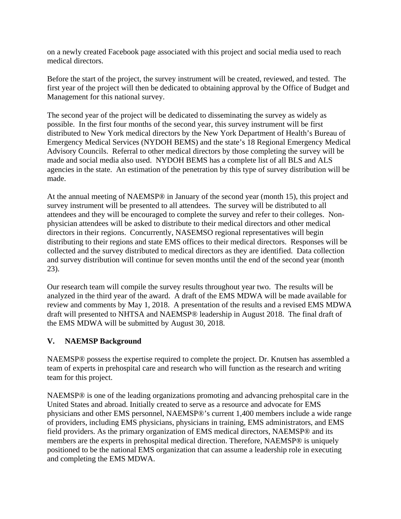on a newly created Facebook page associated with this project and social media used to reach medical directors.

Before the start of the project, the survey instrument will be created, reviewed, and tested. The first year of the project will then be dedicated to obtaining approval by the Office of Budget and Management for this national survey.

The second year of the project will be dedicated to disseminating the survey as widely as possible. In the first four months of the second year, this survey instrument will be first distributed to New York medical directors by the New York Department of Health's Bureau of Emergency Medical Services (NYDOH BEMS) and the state's 18 Regional Emergency Medical Advisory Councils. Referral to other medical directors by those completing the survey will be made and social media also used. NYDOH BEMS has a complete list of all BLS and ALS agencies in the state. An estimation of the penetration by this type of survey distribution will be made.

At the annual meeting of NAEMSP® in January of the second year (month 15), this project and survey instrument will be presented to all attendees. The survey will be distributed to all attendees and they will be encouraged to complete the survey and refer to their colleges. Nonphysician attendees will be asked to distribute to their medical directors and other medical directors in their regions. Concurrently, NASEMSO regional representatives will begin distributing to their regions and state EMS offices to their medical directors. Responses will be collected and the survey distributed to medical directors as they are identified. Data collection and survey distribution will continue for seven months until the end of the second year (month 23).

Our research team will compile the survey results throughout year two. The results will be analyzed in the third year of the award. A draft of the EMS MDWA will be made available for review and comments by May 1, 2018. A presentation of the results and a revised EMS MDWA draft will presented to NHTSA and NAEMSP® leadership in August 2018. The final draft of the EMS MDWA will be submitted by August 30, 2018.

## **V. NAEMSP Background**

NAEMSP® possess the expertise required to complete the project. Dr. Knutsen has assembled a team of experts in prehospital care and research who will function as the research and writing team for this project.

NAEMSP® is one of the leading organizations promoting and advancing prehospital care in the United States and abroad. Initially created to serve as a resource and advocate for EMS physicians and other EMS personnel, NAEMSP®'s current 1,400 members include a wide range of providers, including EMS physicians, physicians in training, EMS administrators, and EMS field providers. As the primary organization of EMS medical directors, NAEMSP® and its members are the experts in prehospital medical direction. Therefore, NAEMSP® is uniquely positioned to be the national EMS organization that can assume a leadership role in executing and completing the EMS MDWA.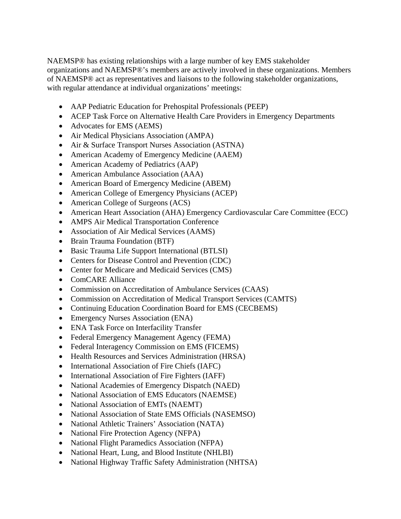NAEMSP® has existing relationships with a large number of key EMS stakeholder organizations and NAEMSP®'s members are actively involved in these organizations. Members of NAEMSP® act as representatives and liaisons to the following stakeholder organizations, with regular attendance at individual organizations' meetings:

- AAP Pediatric Education for Prehospital Professionals (PEEP)
- ACEP Task Force on Alternative Health Care Providers in Emergency Departments
- Advocates for EMS (AEMS)
- Air Medical Physicians Association (AMPA)
- Air & Surface Transport Nurses Association (ASTNA)
- American Academy of Emergency Medicine (AAEM)
- American Academy of Pediatrics (AAP)
- American Ambulance Association (AAA)
- American Board of Emergency Medicine (ABEM)
- American College of Emergency Physicians (ACEP)
- American College of Surgeons (ACS)
- American Heart Association (AHA) Emergency Cardiovascular Care Committee (ECC)
- AMPS Air Medical Transportation Conference
- Association of Air Medical Services (AAMS)
- Brain Trauma Foundation (BTF)
- Basic Trauma Life Support International (BTLSI)
- Centers for Disease Control and Prevention (CDC)
- Center for Medicare and Medicaid Services (CMS)
- ComCARE Alliance
- Commission on Accreditation of Ambulance Services (CAAS)
- Commission on Accreditation of Medical Transport Services (CAMTS)
- Continuing Education Coordination Board for EMS (CECBEMS)
- Emergency Nurses Association (ENA)
- ENA Task Force on Interfacility Transfer
- Federal Emergency Management Agency (FEMA)
- Federal Interagency Commission on EMS (FICEMS)
- Health Resources and Services Administration (HRSA)
- International Association of Fire Chiefs (IAFC)
- International Association of Fire Fighters (IAFF)
- National Academies of Emergency Dispatch (NAED)
- National Association of EMS Educators (NAEMSE)
- National Association of EMTs (NAEMT)
- National Association of State EMS Officials (NASEMSO)
- National Athletic Trainers' Association (NATA)
- National Fire Protection Agency (NFPA)
- National Flight Paramedics Association (NFPA)
- National Heart, Lung, and Blood Institute (NHLBI)
- National Highway Traffic Safety Administration (NHTSA)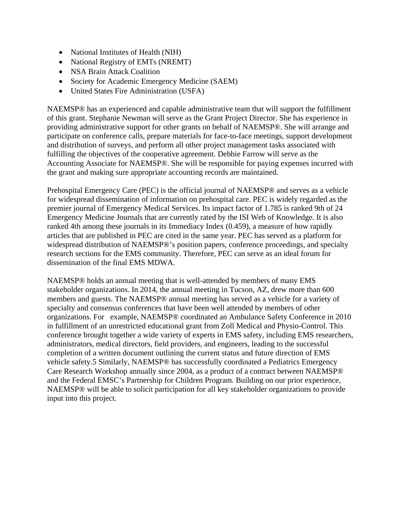- National Institutes of Health (NIH)
- National Registry of EMTs (NREMT)
- NSA Brain Attack Coalition
- Society for Academic Emergency Medicine (SAEM)
- United States Fire Administration (USFA)

NAEMSP® has an experienced and capable administrative team that will support the fulfillment of this grant. Stephanie Newman will serve as the Grant Project Director. She has experience in providing administrative support for other grants on behalf of NAEMSP®. She will arrange and participate on conference calls, prepare materials for face-to-face meetings, support development and distribution of surveys, and perform all other project management tasks associated with fulfilling the objectives of the cooperative agreement. Debbie Farrow will serve as the Accounting Associate for NAEMSP®. She will be responsible for paying expenses incurred with the grant and making sure appropriate accounting records are maintained.

Prehospital Emergency Care (PEC) is the official journal of NAEMSP® and serves as a vehicle for widespread dissemination of information on prehospital care. PEC is widely regarded as the premier journal of Emergency Medical Services. Its impact factor of 1.785 is ranked 9th of 24 Emergency Medicine Journals that are currently rated by the ISI Web of Knowledge. It is also ranked 4th among these journals in its Immediacy Index (0.459), a measure of how rapidly articles that are published in PEC are cited in the same year. PEC has served as a platform for widespread distribution of NAEMSP®'s position papers, conference proceedings, and specialty research sections for the EMS community. Therefore, PEC can serve as an ideal forum for dissemination of the final EMS MDWA.

NAEMSP® holds an annual meeting that is well-attended by members of many EMS stakeholder organizations. In 2014, the annual meeting in Tucson, AZ, drew more than 600 members and guests. The NAEMSP® annual meeting has served as a vehicle for a variety of specialty and consensus conferences that have been well attended by members of other organizations. For example, NAEMSP® coordinated an Ambulance Safety Conference in 2010 in fulfillment of an unrestricted educational grant from Zoll Medical and Physio-Control. This conference brought together a wide variety of experts in EMS safety, including EMS researchers, administrators, medical directors, field providers, and engineers, leading to the successful completion of a written document outlining the current status and future direction of EMS vehicle safety.5 Similarly, NAEMSP® has successfully coordinated a Pediatrics Emergency Care Research Workshop annually since 2004, as a product of a contract between NAEMSP® and the Federal EMSC's Partnership for Children Program. Building on our prior experience, NAEMSP® will be able to solicit participation for all key stakeholder organizations to provide input into this project.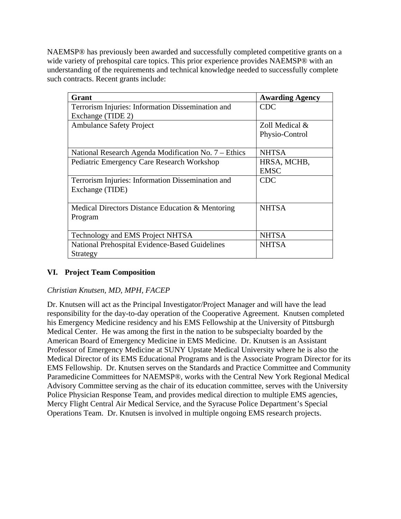NAEMSP® has previously been awarded and successfully completed competitive grants on a wide variety of prehospital care topics. This prior experience provides NAEMSP® with an understanding of the requirements and technical knowledge needed to successfully complete such contracts. Recent grants include:

| Grant                                                | <b>Awarding Agency</b> |  |  |  |  |  |
|------------------------------------------------------|------------------------|--|--|--|--|--|
| Terrorism Injuries: Information Dissemination and    | <b>CDC</b>             |  |  |  |  |  |
| Exchange (TIDE 2)                                    |                        |  |  |  |  |  |
| <b>Ambulance Safety Project</b>                      | Zoll Medical &         |  |  |  |  |  |
|                                                      | Physio-Control         |  |  |  |  |  |
|                                                      |                        |  |  |  |  |  |
| National Research Agenda Modification No. 7 – Ethics | <b>NHTSA</b>           |  |  |  |  |  |
| Pediatric Emergency Care Research Workshop           | HRSA, MCHB,            |  |  |  |  |  |
|                                                      | <b>EMSC</b>            |  |  |  |  |  |
| Terrorism Injuries: Information Dissemination and    | <b>CDC</b>             |  |  |  |  |  |
| Exchange (TIDE)                                      |                        |  |  |  |  |  |
|                                                      |                        |  |  |  |  |  |
| Medical Directors Distance Education & Mentoring     | <b>NHTSA</b>           |  |  |  |  |  |
| Program                                              |                        |  |  |  |  |  |
|                                                      |                        |  |  |  |  |  |
| Technology and EMS Project NHTSA                     | <b>NHTSA</b>           |  |  |  |  |  |
| National Prehospital Evidence-Based Guidelines       | <b>NHTSA</b>           |  |  |  |  |  |
| Strategy                                             |                        |  |  |  |  |  |

## **VI. Project Team Composition**

### *Christian Knutsen, MD, MPH, FACEP*

Dr. Knutsen will act as the Principal Investigator/Project Manager and will have the lead responsibility for the day-to-day operation of the Cooperative Agreement. Knutsen completed his Emergency Medicine residency and his EMS Fellowship at the University of Pittsburgh Medical Center. He was among the first in the nation to be subspecialty boarded by the American Board of Emergency Medicine in EMS Medicine. Dr. Knutsen is an Assistant Professor of Emergency Medicine at SUNY Upstate Medical University where he is also the Medical Director of its EMS Educational Programs and is the Associate Program Director for its EMS Fellowship. Dr. Knutsen serves on the Standards and Practice Committee and Community Paramedicine Committees for NAEMSP®, works with the Central New York Regional Medical Advisory Committee serving as the chair of its education committee, serves with the University Police Physician Response Team, and provides medical direction to multiple EMS agencies, Mercy Flight Central Air Medical Service, and the Syracuse Police Department's Special Operations Team. Dr. Knutsen is involved in multiple ongoing EMS research projects.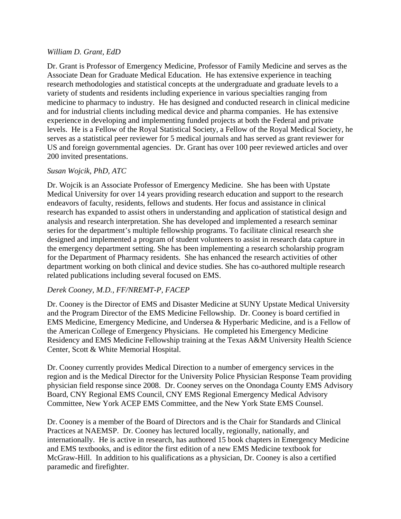#### *William D. Grant, EdD*

Dr. Grant is Professor of Emergency Medicine, Professor of Family Medicine and serves as the Associate Dean for Graduate Medical Education. He has extensive experience in teaching research methodologies and statistical concepts at the undergraduate and graduate levels to a variety of students and residents including experience in various specialties ranging from medicine to pharmacy to industry. He has designed and conducted research in clinical medicine and for industrial clients including medical device and pharma companies. He has extensive experience in developing and implementing funded projects at both the Federal and private levels. He is a Fellow of the Royal Statistical Society, a Fellow of the Royal Medical Society, he serves as a statistical peer reviewer for 5 medical journals and has served as grant reviewer for US and foreign governmental agencies. Dr. Grant has over 100 peer reviewed articles and over 200 invited presentations.

#### *Susan Wojcik, PhD, ATC*

Dr. Wojcik is an Associate Professor of Emergency Medicine. She has been with Upstate Medical University for over 14 years providing research education and support to the research endeavors of faculty, residents, fellows and students. Her focus and assistance in clinical research has expanded to assist others in understanding and application of statistical design and analysis and research interpretation. She has developed and implemented a research seminar series for the department's multiple fellowship programs. To facilitate clinical research she designed and implemented a program of student volunteers to assist in research data capture in the emergency department setting. She has been implementing a research scholarship program for the Department of Pharmacy residents. She has enhanced the research activities of other department working on both clinical and device studies. She has co-authored multiple research related publications including several focused on EMS.

### *Derek Cooney, M.D., FF/NREMT-P, FACEP*

Dr. Cooney is the Director of EMS and Disaster Medicine at SUNY Upstate Medical University and the Program Director of the EMS Medicine Fellowship. Dr. Cooney is board certified in EMS Medicine, Emergency Medicine, and Undersea & Hyperbaric Medicine, and is a Fellow of the American College of Emergency Physicians. He completed his Emergency Medicine Residency and EMS Medicine Fellowship training at the Texas A&M University Health Science Center, Scott & White Memorial Hospital.

Dr. Cooney currently provides Medical Direction to a number of emergency services in the region and is the Medical Director for the University Police Physician Response Team providing physician field response since 2008. Dr. Cooney serves on the Onondaga County EMS Advisory Board, CNY Regional EMS Council, CNY EMS Regional Emergency Medical Advisory Committee, New York ACEP EMS Committee, and the New York State EMS Counsel.

Dr. Cooney is a member of the Board of Directors and is the Chair for Standards and Clinical Practices at NAEMSP. Dr. Cooney has lectured locally, regionally, nationally, and internationally. He is active in research, has authored 15 book chapters in Emergency Medicine and EMS textbooks, and is editor the first edition of a new EMS Medicine textbook for McGraw-Hill. In addition to his qualifications as a physician, Dr. Cooney is also a certified paramedic and firefighter.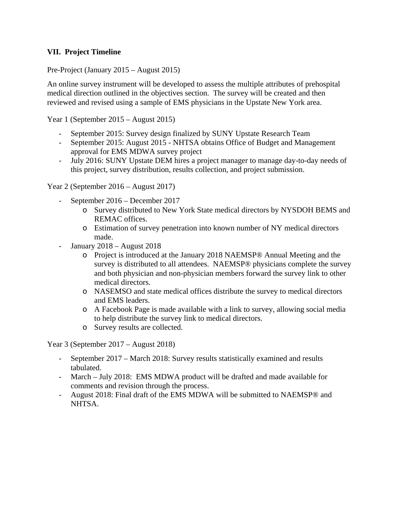### **VII. Project Timeline**

Pre-Project (January 2015 – August 2015)

An online survey instrument will be developed to assess the multiple attributes of prehospital medical direction outlined in the objectives section. The survey will be created and then reviewed and revised using a sample of EMS physicians in the Upstate New York area.

Year 1 (September 2015 – August 2015)

- September 2015: Survey design finalized by SUNY Upstate Research Team
- September 2015: August 2015 NHTSA obtains Office of Budget and Management approval for EMS MDWA survey project
- July 2016: SUNY Upstate DEM hires a project manager to manage day-to-day needs of this project, survey distribution, results collection, and project submission.

Year 2 (September 2016 – August 2017)

- September 2016 December 2017
	- o Survey distributed to New York State medical directors by NYSDOH BEMS and REMAC offices.
	- o Estimation of survey penetration into known number of NY medical directors made.
- January  $2018 -$ August  $2018$ 
	- o Project is introduced at the January 2018 NAEMSP® Annual Meeting and the survey is distributed to all attendees. NAEMSP® physicians complete the survey and both physician and non-physician members forward the survey link to other medical directors.
	- o NASEMSO and state medical offices distribute the survey to medical directors and EMS leaders.
	- o A Facebook Page is made available with a link to survey, allowing social media to help distribute the survey link to medical directors.
	- o Survey results are collected.

Year 3 (September 2017 – August 2018)

- September 2017 March 2018: Survey results statistically examined and results tabulated.
- March July 2018: EMS MDWA product will be drafted and made available for comments and revision through the process.
- August 2018: Final draft of the EMS MDWA will be submitted to NAEMSP® and NHTSA.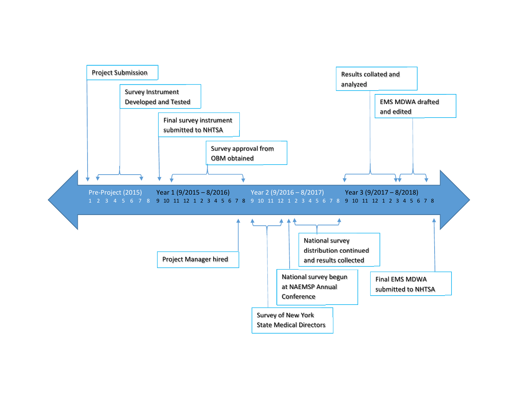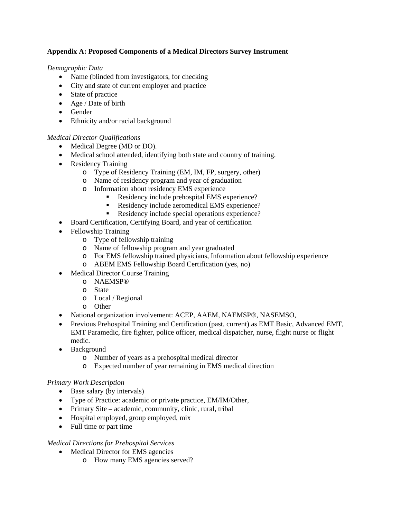#### **Appendix A: Proposed Components of a Medical Directors Survey Instrument**

*Demographic Data* 

- Name (blinded from investigators, for checking
- City and state of current employer and practice
- State of practice
- Age / Date of birth
- Gender
- Ethnicity and/or racial background

#### *Medical Director Qualifications*

- Medical Degree (MD or DO).
- Medical school attended, identifying both state and country of training.
- Residency Training
	- o Type of Residency Training (EM, IM, FP, surgery, other)
	- o Name of residency program and year of graduation
	- o Information about residency EMS experience
		- Residency include prehospital EMS experience?
		- Residency include aeromedical EMS experience?
		- Residency include special operations experience?
- Board Certification, Certifying Board, and year of certification
- Fellowship Training
	- o Type of fellowship training
	- o Name of fellowship program and year graduated
	- o For EMS fellowship trained physicians, Information about fellowship experience
	- o ABEM EMS Fellowship Board Certification (yes, no)
- Medical Director Course Training
	- o NAEMSP®
	- o State
	- o Local / Regional
	- o Other
- National organization involvement: ACEP, AAEM, NAEMSP®, NASEMSO,
- Previous Prehospital Training and Certification (past, current) as EMT Basic, Advanced EMT, EMT Paramedic, fire fighter, police officer, medical dispatcher, nurse, flight nurse or flight medic.
- Background
	- o Number of years as a prehospital medical director
	- o Expected number of year remaining in EMS medical direction

#### *Primary Work Description*

- Base salary (by intervals)
- Type of Practice: academic or private practice, EM/IM/Other,
- Primary Site academic, community, clinic, rural, tribal
- Hospital employed, group employed, mix
- Full time or part time

#### *Medical Directions for Prehospital Services*

- Medical Director for EMS agencies
	- o How many EMS agencies served?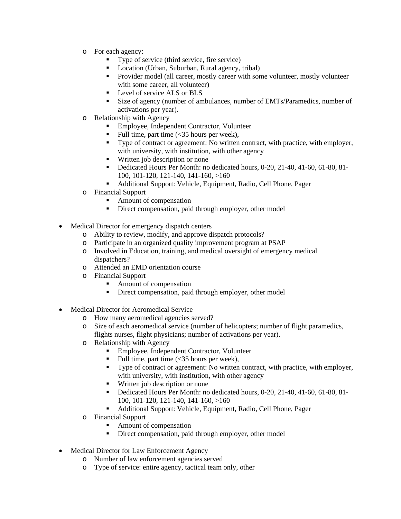- o For each agency:
	- Type of service (third service, fire service)
	- Location (Urban, Suburban, Rural agency, tribal)
	- **Provider model (all career, mostly career with some volunteer, mostly volunteer** with some career, all volunteer)
	- **Level of service ALS or BLS**
	- Size of agency (number of ambulances, number of EMTs/Paramedics, number of activations per year).
- o Relationship with Agency
	- **Employee, Independent Contractor, Volunteer**
	- Full time, part time (<35 hours per week),
	- Type of contract or agreement: No written contract, with practice, with employer, with university, with institution, with other agency
	- **Written job description or none**
	- Dedicated Hours Per Month: no dedicated hours, 0-20, 21-40, 41-60, 61-80, 81-100, 101-120, 121-140, 141-160, >160
	- Additional Support: Vehicle, Equipment, Radio, Cell Phone, Pager
- o Financial Support
	- Amount of compensation
	- Direct compensation, paid through employer, other model
- Medical Director for emergency dispatch centers
	- o Ability to review, modify, and approve dispatch protocols?
	- o Participate in an organized quality improvement program at PSAP
	- o Involved in Education, training, and medical oversight of emergency medical dispatchers?
	- o Attended an EMD orientation course
	- o Financial Support
		- Amount of compensation
		- Direct compensation, paid through employer, other model
- Medical Director for Aeromedical Service
	- o How many aeromedical agencies served?
	- o Size of each aeromedical service (number of helicopters; number of flight paramedics, flights nurses, flight physicians; number of activations per year).
	- o Relationship with Agency
		- Employee, Independent Contractor, Volunteer
		- Full time, part time (<35 hours per week),
		- Type of contract or agreement: No written contract, with practice, with employer, with university, with institution, with other agency
		- **Written job description or none**
		- Dedicated Hours Per Month: no dedicated hours, 0-20, 21-40, 41-60, 61-80, 81-100, 101-120, 121-140, 141-160, >160
		- Additional Support: Vehicle, Equipment, Radio, Cell Phone, Pager
	- o Financial Support
		- Amount of compensation
		- Direct compensation, paid through employer, other model
- Medical Director for Law Enforcement Agency
	- o Number of law enforcement agencies served
	- o Type of service: entire agency, tactical team only, other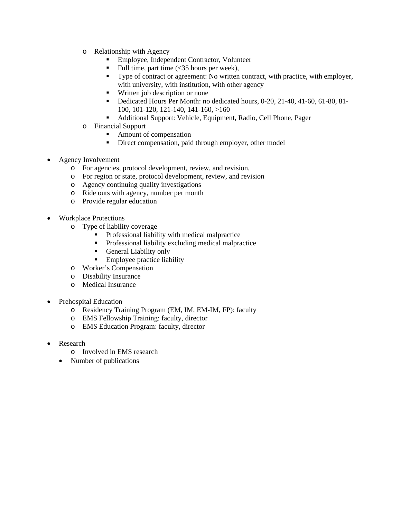- o Relationship with Agency
	- Employee, Independent Contractor, Volunteer
	- Full time, part time (<35 hours per week),
	- Type of contract or agreement: No written contract, with practice, with employer, with university, with institution, with other agency
	- Written job description or none
	- Dedicated Hours Per Month: no dedicated hours, 0-20, 21-40, 41-60, 61-80, 81-100, 101-120, 121-140, 141-160, >160
	- Additional Support: Vehicle, Equipment, Radio, Cell Phone, Pager
- o Financial Support
	- Amount of compensation
	- **Direct compensation, paid through employer, other model**
- Agency Involvement
	- o For agencies, protocol development, review, and revision,
	- o For region or state, protocol development, review, and revision
	- o Agency continuing quality investigations
	- o Ride outs with agency, number per month
	- o Provide regular education
- Workplace Protections
	- o Type of liability coverage
		- **Professional liability with medical malpractice**
		- Professional liability excluding medical malpractice
		- General Liability only
		- Employee practice liability
	- o Worker's Compensation
	- o Disability Insurance
	- o Medical Insurance
- Prehospital Education
	- o Residency Training Program (EM, IM, EM-IM, FP): faculty
	- o EMS Fellowship Training: faculty, director
	- o EMS Education Program: faculty, director
- Research
	- o Involved in EMS research
	- Number of publications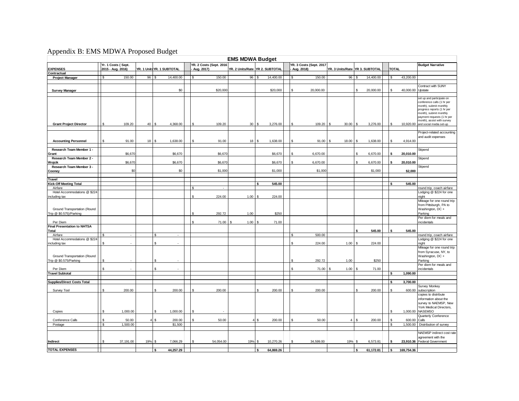### Appendix B: EMS MDWA Proposed Budget

| <b>EMS MDWA Budget</b>                                  |                                         |     |                            |  |                                              |                                 |                    |           |  |                                       |                                 |                    |           |                    |            |                                                                                                                                                                                                                                            |
|---------------------------------------------------------|-----------------------------------------|-----|----------------------------|--|----------------------------------------------|---------------------------------|--------------------|-----------|--|---------------------------------------|---------------------------------|--------------------|-----------|--------------------|------------|--------------------------------------------------------------------------------------------------------------------------------------------------------------------------------------------------------------------------------------------|
| <b>EXPENSES</b>                                         | Yr. 1 Costs (Sept.<br>2015 - Aug. 2016) |     | YR. 1 Units YR. 1 SUBTOTAL |  | <b>YR. 2 Costs (Sept. 2016</b><br>Aug. 2017) | YR. 2 Units/Rate YR 2. SUBTOTAL |                    |           |  | YR. 3 Costs (Sept. 2017<br>Aug. 2018) | YR. 3 Units/Rate YR 3. SUBTOTAL |                    |           | <b>TOTAL</b>       |            | <b>Budget Narrative</b>                                                                                                                                                                                                                    |
| Contractual                                             |                                         |     |                            |  |                                              |                                 |                    |           |  |                                       |                                 |                    |           |                    |            |                                                                                                                                                                                                                                            |
| <b>Project Manager</b>                                  | 150.00<br>\$                            |     | 96S<br>14,400.00           |  | 150.00                                       | 96                              |                    | 14,400.00 |  | 150.00                                | 96                              | $\mathbf{R}$       | 14,400.00 | \$.                | 43,200.00  |                                                                                                                                                                                                                                            |
|                                                         |                                         |     |                            |  |                                              |                                 |                    |           |  |                                       |                                 |                    |           |                    |            | Contract with SUNY                                                                                                                                                                                                                         |
| <b>Survey Manager</b>                                   |                                         |     | \$0                        |  | \$20,000                                     |                                 |                    | \$20,000  |  | 20,000.00                             |                                 |                    | 20,000.00 |                    | 40.000.00  | Upstate                                                                                                                                                                                                                                    |
|                                                         |                                         |     |                            |  |                                              |                                 |                    |           |  |                                       |                                 |                    |           |                    |            |                                                                                                                                                                                                                                            |
| <b>Grant Project Director</b>                           | 109.20<br>\$                            | 40  | s<br>4,368.00              |  | 109.20                                       | 30                              | \$                 | 3,276.00  |  | 109.20<br>£.                          | <b>S</b><br>30.00               | \$                 | 3,276.00  | \$.                |            | set up and participate on<br>conference calls (1 hr per<br>month), submit monthly<br>progress reports (1 hr per<br>month), submit monthly<br>payment requests (1 hr per<br>month), assist with survey<br>10,920.00 and social media set-up |
|                                                         |                                         |     |                            |  |                                              |                                 |                    |           |  |                                       |                                 |                    |           |                    |            |                                                                                                                                                                                                                                            |
| <b>Accounting Personnel</b>                             | \$<br>91.00                             |     | 1,638.00                   |  | 91.00                                        | 18                              | S                  | 1,638.00  |  | 91.00                                 | 18.00<br>-S                     | -\$                | 1,638.00  | Ś.                 | 4,914.00   | Project-related accounting<br>and audit expenses                                                                                                                                                                                           |
| Research Team Member 1 -<br>Grant                       | \$6,670                                 |     | \$6,670                    |  | \$6,670                                      |                                 |                    | \$6,670   |  | 6,670.00                              |                                 | £.                 | 6,670.00  | $\hat{\mathbf{c}}$ | 20,010.00  | Stipend                                                                                                                                                                                                                                    |
| Research Team Member 2 -                                |                                         |     |                            |  |                                              |                                 |                    |           |  |                                       |                                 |                    |           |                    |            | Stipend                                                                                                                                                                                                                                    |
| Wojcik<br>Research Team Member 3 -                      | \$6,670                                 |     | \$6,670                    |  | \$6,670                                      |                                 |                    | \$6,670   |  | 6,670.00                              |                                 | $\mathbf{\hat{s}}$ | 6,670.00  |                    | 20,010.00  | Stipend                                                                                                                                                                                                                                    |
| Cooney                                                  | \$0                                     |     | \$0                        |  | \$1,000                                      |                                 |                    | \$1,000   |  | \$1,000                               |                                 |                    | \$1,000   |                    | \$2,000    |                                                                                                                                                                                                                                            |
|                                                         |                                         |     |                            |  |                                              |                                 |                    |           |  |                                       |                                 |                    |           |                    |            |                                                                                                                                                                                                                                            |
| Travel<br><b>Kick-Off Meeting Total</b>                 |                                         |     |                            |  |                                              |                                 | $\hat{\mathbf{c}}$ | 545.00    |  |                                       |                                 |                    |           |                    | 545.00     |                                                                                                                                                                                                                                            |
| Airfare                                                 |                                         |     |                            |  | $\mathbf{R}$                                 |                                 |                    |           |  |                                       |                                 |                    |           |                    |            | round trip, coach airfare                                                                                                                                                                                                                  |
| Hotel Accommodations @ \$224                            |                                         |     |                            |  |                                              |                                 |                    |           |  |                                       |                                 |                    |           |                    |            | Lodging @ \$224 for one                                                                                                                                                                                                                    |
| including tax                                           |                                         |     |                            |  | 224.00<br>$\mathbf{s}$                       | 1.00                            | s                  | 224.00    |  |                                       |                                 |                    |           |                    |            | night                                                                                                                                                                                                                                      |
| Ground Transportation (Round<br>Trip @ \$0.575)/Parking |                                         |     |                            |  | 292.72                                       | 1.00                            |                    | \$250     |  |                                       |                                 |                    |           |                    |            | Mileage for one round trip<br>from Pittsburgh, PA to<br>Washington, DC +<br>Parking                                                                                                                                                        |
| Per Diem                                                |                                         |     |                            |  | 71.00                                        | 1.00                            |                    | 71.00     |  |                                       |                                 |                    |           |                    |            | Per diem for meals and<br>incidentals                                                                                                                                                                                                      |
| <b>Final Presentation to NHTSA</b>                      |                                         |     |                            |  |                                              |                                 |                    |           |  |                                       |                                 |                    |           |                    |            |                                                                                                                                                                                                                                            |
| Total                                                   |                                         |     |                            |  |                                              |                                 |                    |           |  |                                       |                                 |                    | 545.00    |                    | 545.00     |                                                                                                                                                                                                                                            |
| Airfare<br>Hotel Accommodations @ \$224                 | ፍ<br>÷,                                 |     | \$.<br>$\sim$              |  |                                              |                                 |                    |           |  | 500.00<br>$\mathcal{F}$               |                                 |                    |           |                    |            | round trip, coach airfare<br>Lodging @ \$224 for one                                                                                                                                                                                       |
| including tax                                           | \$.                                     |     | Ś.                         |  |                                              |                                 |                    |           |  | 224.00<br>\$                          | 1.00                            | \$                 | 224.00    |                    |            | night                                                                                                                                                                                                                                      |
| Ground Transportation (Round<br>Trip @ \$0.575/Parking  | \$                                      |     | Ś.                         |  |                                              |                                 |                    |           |  | 292.72                                | 1.00                            |                    | \$250     |                    |            | Mileage for one round trip<br>from Syracuse, NY, to<br>Washington, DC +<br>Parking                                                                                                                                                         |
|                                                         |                                         |     |                            |  |                                              |                                 |                    |           |  |                                       |                                 |                    |           |                    |            | Per diem for meals and                                                                                                                                                                                                                     |
| Per Diem<br><b>Travel Subtotal</b>                      |                                         |     | ¢                          |  |                                              |                                 |                    |           |  | 71.00                                 | 1.00                            |                    | 71.00     |                    | 1,090.00   | incidentals                                                                                                                                                                                                                                |
|                                                         |                                         |     |                            |  |                                              |                                 |                    |           |  |                                       |                                 |                    |           |                    |            |                                                                                                                                                                                                                                            |
| <b>Supplies/Direct Costs Total</b>                      |                                         |     |                            |  |                                              |                                 |                    |           |  |                                       |                                 |                    |           | s                  | 3,700.00   |                                                                                                                                                                                                                                            |
|                                                         | \$.                                     |     | S.                         |  |                                              |                                 | \$.                |           |  |                                       |                                 |                    |           | ዼ                  |            | <b>Survey Monkey</b>                                                                                                                                                                                                                       |
| Survey Tool                                             | 200.00                                  |     | 200.00                     |  | 200.00                                       |                                 |                    | 200.00    |  | 200.00                                |                                 |                    | 200.00    |                    | 600.00     | subscription<br>copies to distribute<br>information about the<br>survey to NAEMSP, New<br>York Medical Directors,                                                                                                                          |
| Copies                                                  | \$<br>1,000.00                          |     | \$<br>1,000.00             |  | $\mathbf{\hat{s}}$                           |                                 |                    |           |  |                                       |                                 |                    |           | S                  |            | 1,000.00 NASEMSO                                                                                                                                                                                                                           |
| Conference Calls                                        | 50.00<br>\$.                            |     | s.<br>200.00               |  | 50.00<br>$\mathbf{s}$                        |                                 | s                  | 200.00    |  | 50.00<br>£.                           | $\overline{4}$                  | -S                 | 200.00    | s                  | 600.00     | Quarterly Conference<br>Calls                                                                                                                                                                                                              |
| Postage                                                 | 1,500.00<br>\$                          |     | \$1,500                    |  |                                              |                                 |                    |           |  |                                       |                                 |                    |           | \$                 | 1,500.00   | Distribution of survey                                                                                                                                                                                                                     |
|                                                         |                                         |     |                            |  |                                              |                                 |                    |           |  |                                       |                                 |                    |           |                    |            |                                                                                                                                                                                                                                            |
| Indirect                                                | 37,191.00<br>\$                         | 19% | 7,066.29<br>£.             |  | 54,054.00                                    | 19%                             | £.                 | 10,270.26 |  | 34,599.00<br>¢                        | 19% \$                          |                    | 6,573.81  |                    |            | NAEMSP indirect cost rate<br>agreement with the<br>23,910.36 Federal Government                                                                                                                                                            |
| <b>TOTAL EXPENSES</b>                                   |                                         |     | 44,257.29<br>s             |  |                                              |                                 | s                  | 64,869.26 |  |                                       |                                 | \$.                | 61,172.81 | s                  | 169.754.36 |                                                                                                                                                                                                                                            |
|                                                         |                                         |     |                            |  |                                              |                                 |                    |           |  |                                       |                                 |                    |           |                    |            |                                                                                                                                                                                                                                            |